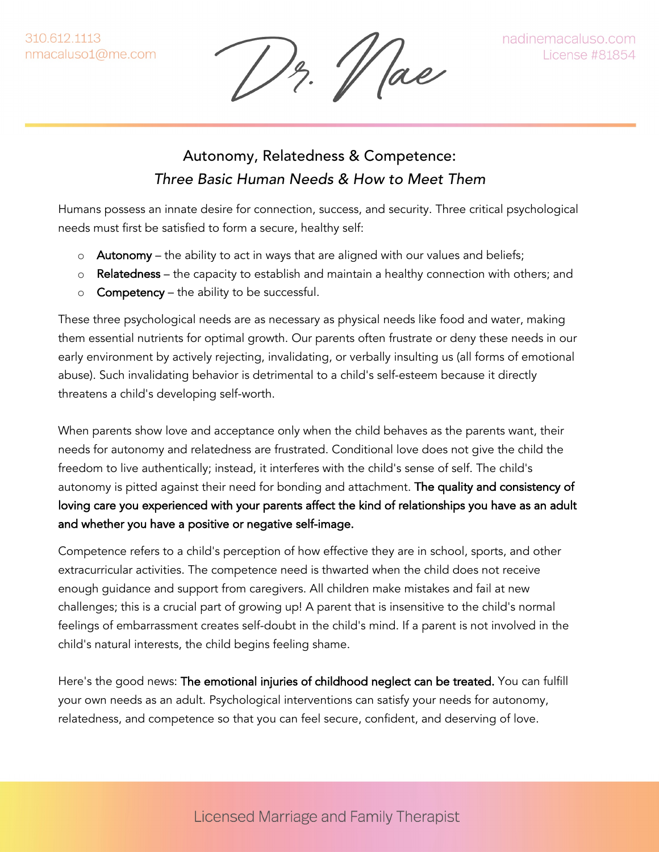Hae

## Autonomy, Relatedness & Competence: *Three Basic Human Needs & How to Meet Them*

Humans possess an innate desire for connection, success, and security. Three critical psychological needs must first be satisfied to form a secure, healthy self:

- $\circ$  Autonomy the ability to act in ways that are aligned with our values and beliefs;
- o Relatedness the capacity to establish and maintain a healthy connection with others; and
- $\circ$  Competency the ability to be successful.

These three psychological needs are as necessary as physical needs like food and water, making them essential nutrients for optimal growth. Our parents often frustrate or deny these needs in our early environment by actively rejecting, invalidating, or verbally insulting us (all forms of emotional abuse). Such invalidating behavior is detrimental to a child's self-esteem because it directly threatens a child's developing self-worth.

When parents show love and acceptance only when the child behaves as the parents want, their needs for autonomy and relatedness are frustrated. Conditional love does not give the child the freedom to live authentically; instead, it interferes with the child's sense of self. The child's autonomy is pitted against their need for bonding and attachment. The quality and consistency of loving care you experienced with your parents affect the kind of relationships you have as an adult and whether you have a positive or negative self-image.

Competence refers to a child's perception of how effective they are in school, sports, and other extracurricular activities. The competence need is thwarted when the child does not receive enough guidance and support from caregivers. All children make mistakes and fail at new challenges; this is a crucial part of growing up! A parent that is insensitive to the child's normal feelings of embarrassment creates self-doubt in the child's mind. If a parent is not involved in the child's natural interests, the child begins feeling shame.

Here's the good news: The emotional injuries of childhood neglect can be treated. You can fulfill your own needs as an adult. Psychological interventions can satisfy your needs for autonomy, relatedness, and competence so that you can feel secure, confident, and deserving of love.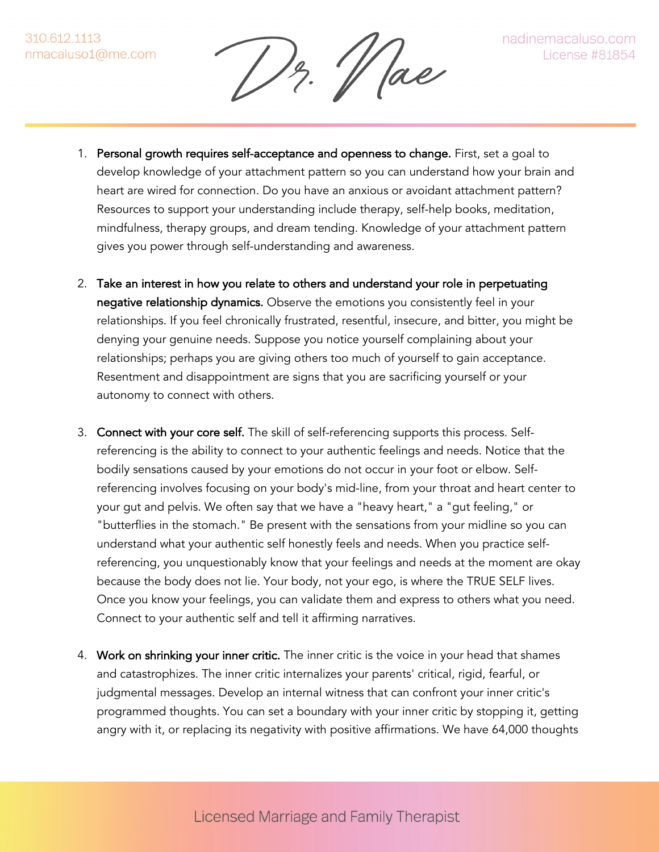$\frac{1}{2}$ .  $\Vert$  ae

- 1. Personal growth requires self-acceptance and openness to change. First, set a goal to develop knowledge of your attachment pattern so you can understand how your brain and heart are wired for connection. Do you have an anxious or avoidant attachment pattern? Resources to support your understanding include therapy, self-help books, meditation, mindfulness, therapy groups, and dream tending. Knowledge of your attachment pattern gives you power through self-understanding and awareness.
- 2. Take an interest in how you relate to others and understand your role in perpetuating negative relationship dynamics. Observe the emotions you consistently feel in your relationships. If you feel chronically frustrated, resentful, insecure, and bitter, you might be denying your genuine needs. Suppose you notice yourself complaining about your relationships; perhaps you are giving others too much of yourself to gain acceptance. Resentment and disappointment are signs that you are sacrificing yourself or your autonomy to connect with others.
- 3. Connect with your core self. The skill of self-referencing supports this process. Selfreferencing is the ability to connect to your authentic feelings and needs. Notice that the bodily sensations caused by your emotions do not occur in your foot or elbow. Selfreferencing involves focusing on your body's mid-line, from your throat and heart center to your gut and pelvis. We often say that we have a "heavy heart," a "gut feeling," or "butterflies in the stomach." Be present with the sensations from your midline so you can understand what your authentic self honestly feels and needs. When you practice selfreferencing, you unquestionably know that your feelings and needs at the moment are okay because the body does not lie. Your body, not your ego, is where the TRUE SELF lives. Once you know your feelings, you can validate them and express to others what you need. Connect to your authentic self and tell it affirming narratives.
- 4. Work on shrinking your inner critic. The inner critic is the voice in your head that shames and catastrophizes. The inner critic internalizes your parents' critical, rigid, fearful, or judgmental messages. Develop an internal witness that can confront your inner critic's programmed thoughts. You can set a boundary with your inner critic by stopping it, getting angry with it, or replacing its negativity with positive affirmations. We have 64,000 thoughts